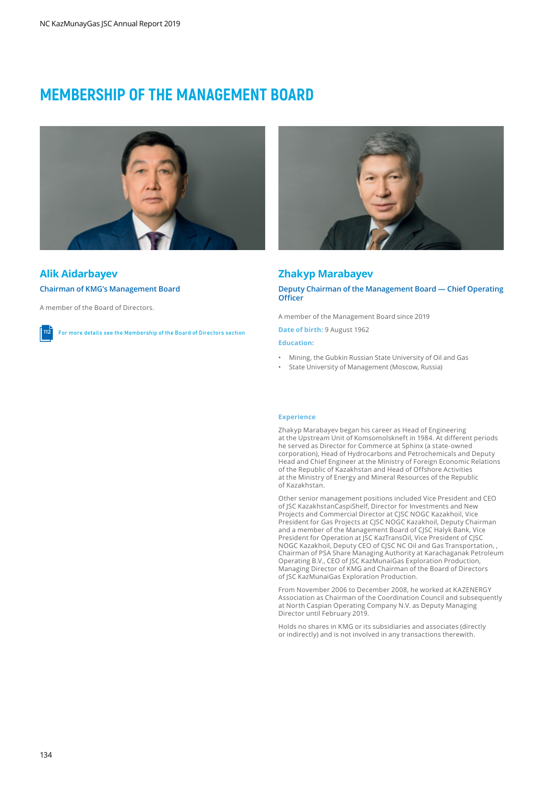# **MEMBERSHIP OF THE MANAGEMENT BOARD**



# **Alik Aidarbayev**

**Chairman of KMG's Management Board**

A member of the Board of Directors.

**112** For more details see the Membership of the Board of Directors section



# **Zhakyp Marabayev**

**Deputy Chairman of the Management Board — Chief Operating Officer**

A member of the Management Board since 2019

**Date of birth:** 9 August 1962

### **Education:**

- Mining, the Gubkin Russian State University of Oil and Gas
- State University of Management (Moscow, Russia)

### **Experience**

Zhakyp Marabayev began his career as Head of Engineering at the Upstream Unit of Komsomolskneft in 1984. At different periods he served as Director for Commerce at Sphinx (a state-owned corporation), Head of Hydrocarbons and Petrochemicals and Deputy Head and Chief Engineer at the Ministry of Foreign Economic Relations of the Republic of Kazakhstan and Head of Offshore Activities at the Ministry of Energy and Mineral Resources of the Republic of Kazakhstan.

Other senior management positions included Vice President and CEO of JSC KazakhstanCaspiShelf, Director for Investments and New Projects and Commercial Director at CJSC NOGC Kazakhoil, Vice President for Gas Projects at CJSC NOGC Kazakhoil, Deputy Chairman and a member of the Management Board of CJSC Halyk Bank, Vice President for Operation at JSC KazTransOil, Vice President of CJSC NOGC Kazakhoil, Deputy CEO of CJSC NC Oil and Gas Transportation, , Chairman of PSA Share Managing Authority at Karachaganak Petroleum Operating B.V., CEO of JSC KazMunaiGas Exploration Production, Managing Director of KMG and Chairman of the Board of Directors of JSC KazMunaiGas Exploration Production.

From November 2006 to December 2008, he worked at KAZENERGY Association as Chairman of the Coordination Council and subsequently at North Caspian Operating Company N.V. as Deputy Managing Director until February 2019.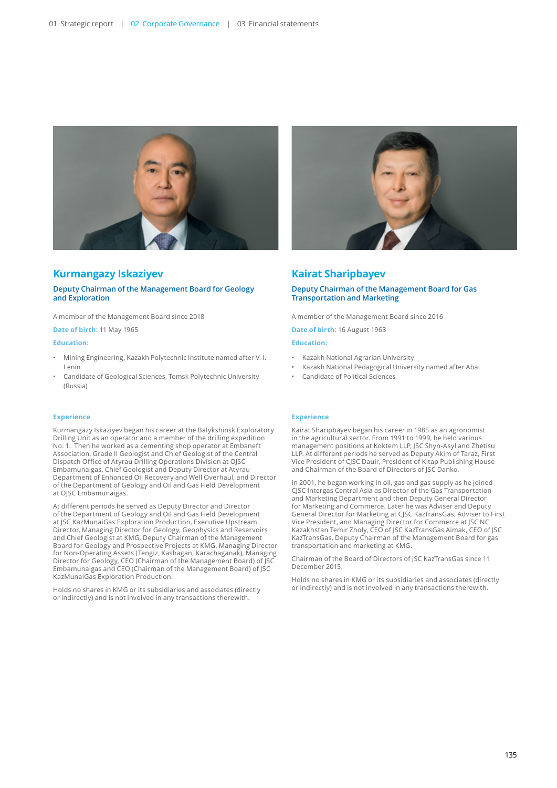

# **Kurmangazy Iskaziyev**

### **Deputy Chairman of the Management Board for Geology and Exploration**

A member of the Management Board since 2018

**Date of birth:** 11 May 1965

#### **Education:**

- Mining Engineering, Kazakh Polytechnic Institute named after V. I. Lenin
- Candidate of Geological Sciences, Tomsk Polytechnic University (Russia)

### **Experience**

Kurmangazy Iskaziyev began his career at the Balykshinsk Exploratory Drilling Unit as an operator and a member of the drilling expedition No. 1. Then he worked as a cementing shop operator at Embaneft Association, Grade II Geologist and Chief Geologist of the Central Dispatch Office of Atyrau Drilling Operations Division at OJSC Embamunaigas, Chief Geologist and Deputy Director at Atyrau Department of Enhanced Oil Recovery and Well Overhaul, and Director of the Department of Geology and Oil and Gas Field Development at OJSC Embamunaigas.

At different periods he served as Deputy Director and Director of the Department of Geology and Oil and Gas Field Development at JSC KazMunaiGas Exploration Production, Executive Upstream Director, Managing Director for Geology, Geophysics and Reservoirs and Chief Geologist at KMG, Deputy Chairman of the Management Board for Geology and Prospective Projects at KMG, Managing Director for Non-Operating Assets (Tengiz, Kashagan, Karachaganak), Managing Director for Geology, CEO (Chairman of the Management Board) of JSC Embamunaigas and CEO (Chairman of the Management Board) of JSC KazMunaiGas Exploration Production.

Holds no shares in KMG or its subsidiaries and associates (directly or indirectly) and is not involved in any transactions therewith.



# **Kairat Sharipbayev**

## **Deputy Chairman of the Management Board for Gas Transportation and Marketing**

A member of the Management Board since 2016

**Date of birth:** 16 August 1963

### **Education:**

- Kazakh National Agrarian University
- Kazakh National Pedagogical University named after Abai
- Candidate of Political Sciences

### **Experience**

Kairat Sharipbayev began his career in 1985 as an agronomist in the agricultural sector. From 1991 to 1999, he held various management positions at Koktem LLP, JSC Shyn-Asyl and Zhetisu LLP. At different periods he served as Deputy Akim of Taraz, First Vice President of CJSC Dauir, President of Kitap Publishing House and Chairman of the Board of Directors of JSC Danko.

In 2001, he began working in oil, gas and gas supply as he joined CJSC Intergas Central Asia as Director of the Gas Transportation and Marketing Department and then Deputy General Director for Marketing and Commerce. Later he was Adviser and Deputy General Director for Marketing at CJSC KazTransGas, Adviser to First Vice President, and Managing Director for Commerce at JSC NC Kazakhstan Temir Zholy, CEO of JSС KazTransGas Aimak, CEO of JSC KazTransGas, Deputy Chairman of the Management Board for gas transportation and marketing at KMG.

Chairman of the Board of Directors of JSC KazTransGas since 11 December 2015.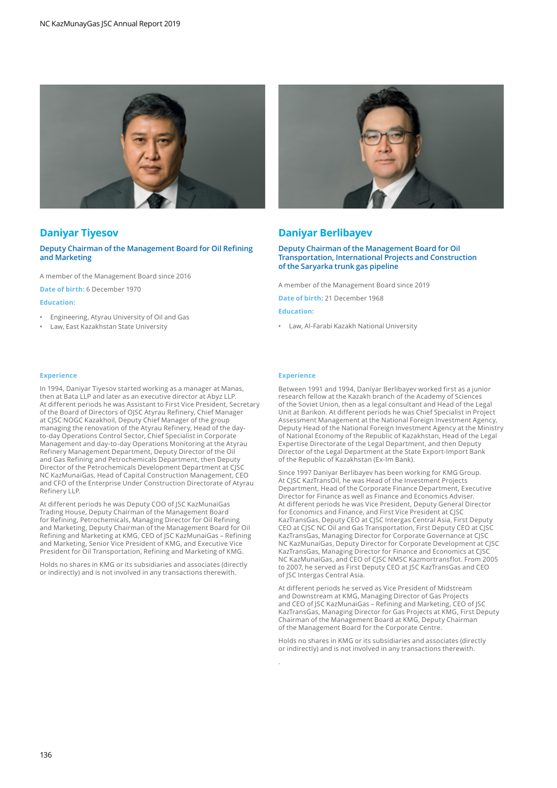

# **Daniyar Tiyesov**

### **Deputy Chairman of the Management Board for Oil Refining and Marketing**

A member of the Management Board since 2016

**Date of birth:** 6 December 1970

# **Education:**

- Engineering, Atyrau University of Oil and Gas
- Law, East Kazakhstan State University

### **Experience**

In 1994, Daniyar Tiyesov started working as a manager at Manas, then at Bata LLP and later as an executive director at Abyz LLP. At different periods he was Assistant to First Vice President, Secretary of the Board of Directors of OJSC Atyrau Refinery, Chief Manager at CJSC NOGC Kazakhoil, Deputy Chief Manager of the group managing the renovation of the Atyrau Refinery, Head of the dayto-day Operations Control Sector, Chief Specialist in Corporate Management and day-to-day Operations Monitoring at the Atyrau Refinery Management Department, Deputy Director of the Oil and Gas Refining and Petrochemicals Department, then Deputy Director of the Petrochemicals Development Department at CJSC NC KazMunaiGas, Head of Capital Construction Management, CEO and CFO of the Enterprise Under Construction Directorate of Atyrau Refinery LLP.

At different periods he was Deputy COO of JSC KazMunaiGas Trading House, Deputy Chairman of the Management Board for Refining, Petrochemicals, Managing Director for Oil Refining and Marketing, Deputy Chairman of the Management Board for Oil Refining and Marketing at KMG, CEO of JSC KazMunaiGas – Refining and Marketing, Senior Vice President of KMG, and Executive Vice President for Oil Transportation, Refining and Marketing of KMG.

Holds no shares in KMG or its subsidiaries and associates (directly or indirectly) and is not involved in any transactions therewith.



# **Daniyar Berlibayev**

### **Deputy Chairman of the Management Board for Oil Transportation, International Projects and Construction of the Saryarka trunk gas pipeline**

A member of the Management Board since 2019

**Date of birth:** 21 December 1968

**Education:**

• Law, Al-Farabi Kazakh National University

## **Experience**

.

Between 1991 and 1994, Daniyar Berlibayev worked first as a junior research fellow at the Kazakh branch of the Academy of Sciences of the Soviet Union, then as a legal consultant and Head of the Legal Unit at Barikon. At different periods he was Chief Specialist in Project Assessment Management at the National Foreign Investment Agency, Deputy Head of the National Foreign Investment Agency at the Ministry of National Economy of the Republic of Kazakhstan, Head of the Legal Expertise Directorate of the Legal Department, and then Deputy Director of the Legal Department at the State Export-Import Bank of the Republic of Kazakhstan (Ex-Im Bank).

Since 1997 Daniyar Berlibayev has been working for KMG Group. At CJSC KazTransOil, he was Head of the Investment Projects Department, Head of the Corporate Finance Department, Executive Director for Finance as well as Finance and Economics Adviser. At different periods he was Vice President, Deputy General Director for Economics and Finance, and First Vice President at CJSC KazTransGas, Deputy CEO at CJSC Intergas Central Asia, First Deputy CEO at CJSC NC Oil and Gas Transportation, First Deputy CEO at CJSC KazTransGas, Managing Director for Corporate Governance at CJSC NC KazMunaiGas, Deputy Director for Corporate Development at CJSC KazTransGas, Managing Director for Finance and Economics at CJSC NC KazMunaiGas, and CEO of CJSC NMSC Kazmortransflot. From 2005 to 2007, he served as First Deputy CEO at JSC KazTransGas and CEO of JSC Intergas Central Asia.

At different periods he served as Vice President of Midstream and Downstream at KMG, Managing Director of Gas Projects and CEO of JSC KazMunaiGas – Refining and Marketing, CEO of JSC KazTransGas, Managing Director for Gas Projects at KMG, First Deputy Chairman of the Management Board at KMG, Deputy Chairman of the Management Board for the Corporate Centre.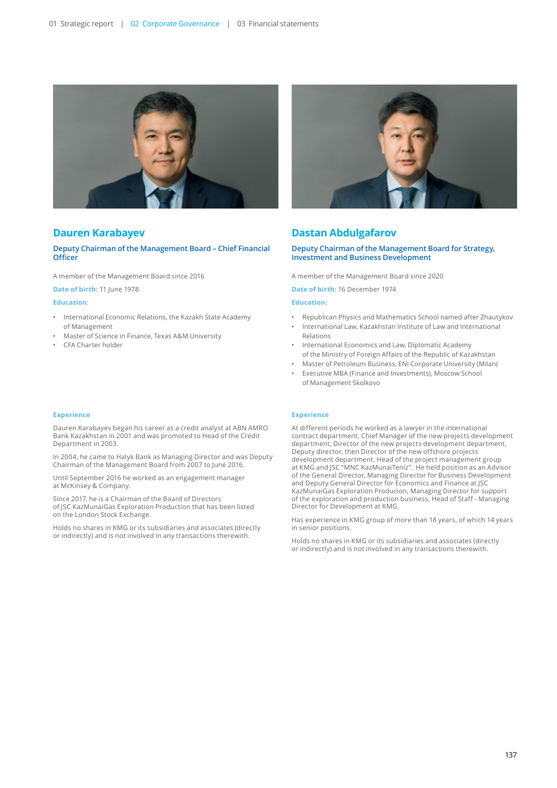

# **Dauren Karabayev**

## **Deputy Chairman of the Management Board – Chief Financial Officer**

A member of the Management Board since 2016

**Date of birth:** 11 June 1978

## **Education:**

- International Economic Relations, the Kazakh State Academy of Management
- Master of Science in Finance, Texas A&M University
- CFA Charter holder

#### **Experience**

Dauren Karabayev began his career as a credit analyst at ABN AMRO Bank Kazakhstan in 2001 and was promoted to Head of the Credit Department in 2003.

In 2004, he came to Halyk Bank as Managing Director and was Deputy Chairman of the Management Board from 2007 to June 2016.

Until September 2016 he worked as an engagement manager at McKinsey & Company.

Since 2017, he is a Chairman of the Board of Directors of JSC KazMunaiGas Exploration Production that has been listed on the London Stock Exchange.

Holds no shares in KMG or its subsidiaries and associates (directly or indirectly) and is not involved in any transactions therewith.



# **Dastan Abdulgafarov**

### **Deputy Chairman of the Management Board for Strategy, Investment and Business Development**

A member of the Management Board since 2020

**Date of birth:** 16 December 1974

# **Education:**

- Republican Physics and Mathematics School named after Zhautykov
- International Law, Kazakhstan Institute of Law and International Relations
- International Economics and Law, Diplomatic Academy of the Ministry of Foreign Affairs of the Republic of Kazakhstan
- Master of Petroleum Business, ENI Corporate University (Milan)
- Executive MBA (Finance and Investments), Moscow School of Management Skolkovo

#### **Experience**

At different periods he worked as a lawyer in the international contract department, Сhief Manager of the new projects development department, Director of the new projects development department, Deputy director, then Director of the new offshore projects development department, Head of the project management group at KMG and JSC "MNC KazMunaiTeniz". He held position as an Advisor of the General Director, Managing Director for Business Development and Deputy General Director for Economics and Finance at JSC KazMunaiGas Exploration Producion, Managing Director for support of the exploration and production business, Head of Staff - Managing Director for Development at KMG.

Has experience in KMG group of more than 18 years, of which 14 years in senior positions.